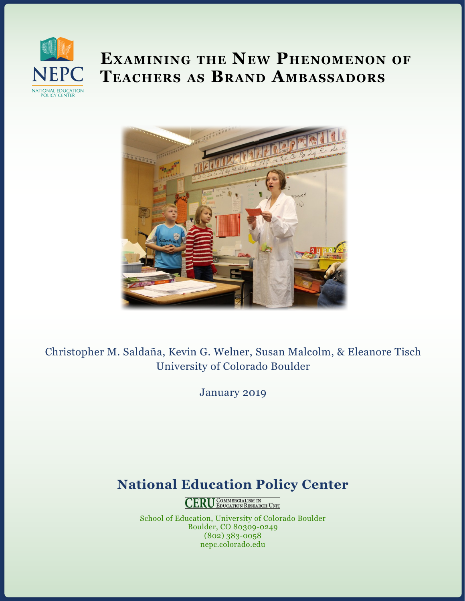

# **Examining the New Phenomenon of Teachers as Brand Ambassadors**



Christopher M. Saldaña, Kevin G. Welner, Susan Malcolm, & Eleanore Tisch University of Colorado Boulder

January 2019

## **National Education Policy Center**

**CERU** COMMERCIALISM IN

School of Education, University of Colorado Boulder Boulder, CO 80309-0249 (802) 383-0058 nepc.colorado.edu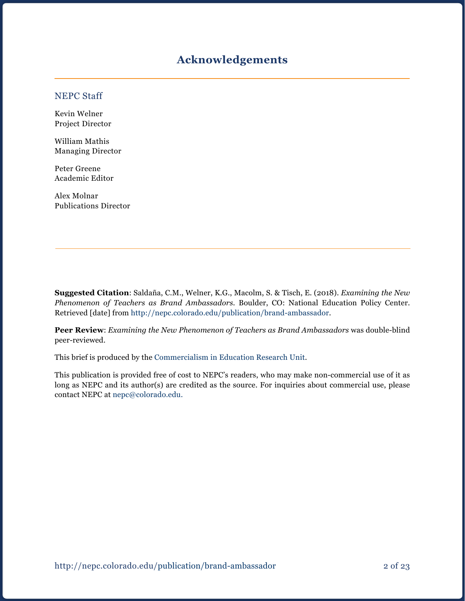## **Acknowledgements**

#### NEPC Staff

Kevin Welner Project Director

William Mathis Managing Director

Peter Greene Academic Editor

Alex Molnar Publications Director

**Suggested Citation**: Saldaña, C.M., Welner, K.G., Macolm, S. & Tisch, E. (2018). *Examining the New Phenomenon of Teachers as Brand Ambassadors.* Boulder, CO: National Education Policy Center. Retrieved [date] from [http://nepc.colorado.edu/p](http://nepc.colorado.edu/publication/brand-ambassador)ublication/brand-ambassador.

**Peer Review**: *Examining the New Phenomenon of Teachers as Brand Ambassadors* was double-blind peer-reviewed.

This brief is produced by the [Commercialism in Education Research Unit.](https://nepc.colorado.edu/ceru-home)

This publication is provided free of cost to NEPC's readers, who may make non-commercial use of it as long as NEPC and its author(s) are credited as the source. For inquiries about commercial use, please contact NEPC at [nepc@colorado.edu](mailto:nepc@colorado.edu.).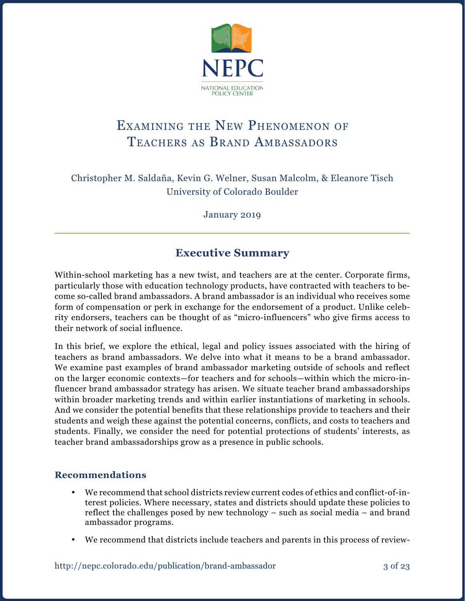

## Examining the New Phenomenon of Teachers as Brand Ambassadors

Christopher M. Saldaña, Kevin G. Welner, Susan Malcolm, & Eleanore Tisch University of Colorado Boulder

January 2019

## **Executive Summary**

Within-school marketing has a new twist, and teachers are at the center. Corporate firms, particularly those with education technology products, have contracted with teachers to become so-called brand ambassadors. A brand ambassador is an individual who receives some form of compensation or perk in exchange for the endorsement of a product. Unlike celebrity endorsers, teachers can be thought of as "micro-influencers" who give firms access to their network of social influence.

In this brief, we explore the ethical, legal and policy issues associated with the hiring of teachers as brand ambassadors. We delve into what it means to be a brand ambassador. We examine past examples of brand ambassador marketing outside of schools and reflect on the larger economic contexts—for teachers and for schools—within which the micro-influencer brand ambassador strategy has arisen. We situate teacher brand ambassadorships within broader marketing trends and within earlier instantiations of marketing in schools. And we consider the potential benefits that these relationships provide to teachers and their students and weigh these against the potential concerns, conflicts, and costs to teachers and students. Finally, we consider the need for potential protections of students' interests, as teacher brand ambassadorships grow as a presence in public schools.

### **Recommendations**

- We recommend that school districts review current codes of ethics and conflict-of-interest policies. Where necessary, states and districts should update these policies to reflect the challenges posed by new technology – such as social media – and brand ambassador programs.
- We recommend that districts include teachers and parents in this process of review-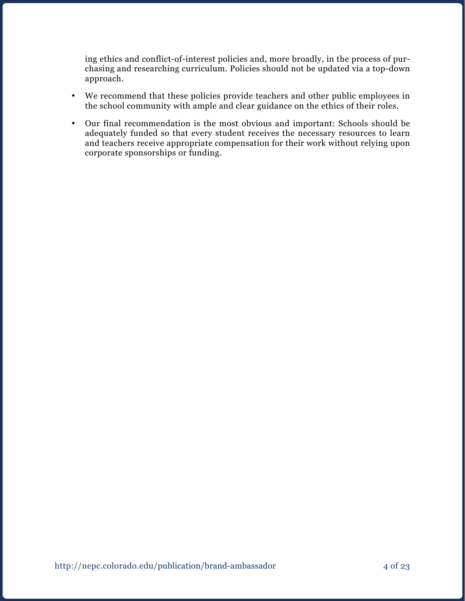ing ethics and conflict-of-interest policies and, more broadly, in the process of purchasing and researching curriculum. Policies should not be updated via a top-down approach.

- We recommend that these policies provide teachers and other public employees in the school community with ample and clear guidance on the ethics of their roles.
- • Our final recommendation is the most obvious and important: Schools should be adequately funded so that every student receives the necessary resources to learn and teachers receive appropriate compensation for their work without relying upon corporate sponsorships or funding.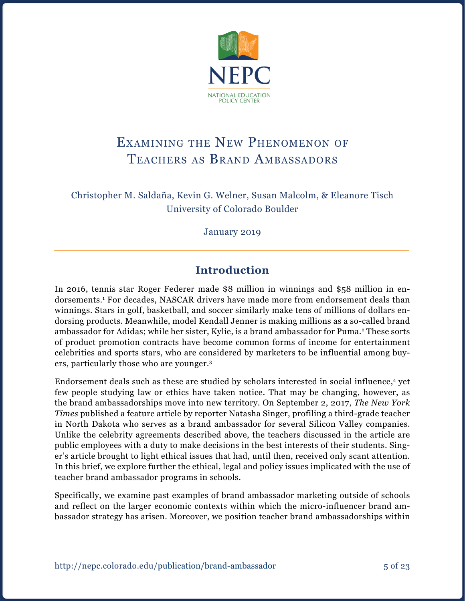

## Examining the New Phenomenon of Teachers as Brand Ambassadors

Christopher M. Saldaña, Kevin G. Welner, Susan Malcolm, & Eleanore Tisch University of Colorado Boulder

January 2019

## **Introduction**

In 2016, tennis star Roger Federer made \$8 million in winnings and \$58 million in endorsements.1 For decades, NASCAR drivers have made more from endorsement deals than winnings. Stars in golf, basketball, and soccer similarly make tens of millions of dollars endorsing products. Meanwhile, model Kendall Jenner is making millions as a so-called brand ambassador for Adidas; while her sister, Kylie, is a brand ambassador for Puma.2 These sorts of product promotion contracts have become common forms of income for entertainment celebrities and sports stars, who are considered by marketers to be influential among buyers, particularly those who are younger.3

Endorsement deals such as these are studied by scholars interested in social influence,4 yet few people studying law or ethics have taken notice. That may be changing, however, as the brand ambassadorships move into new territory. On September 2, 2017, *The New York Times* published a feature article by reporter Natasha Singer, profiling a third-grade teacher in North Dakota who serves as a brand ambassador for several Silicon Valley companies. Unlike the celebrity agreements described above, the teachers discussed in the article are public employees with a duty to make decisions in the best interests of their students. Singer's article brought to light ethical issues that had, until then, received only scant attention. In this brief, we explore further the ethical, legal and policy issues implicated with the use of teacher brand ambassador programs in schools.

Specifically, we examine past examples of brand ambassador marketing outside of schools and reflect on the larger economic contexts within which the micro-influencer brand ambassador strategy has arisen. Moreover, we position teacher brand ambassadorships within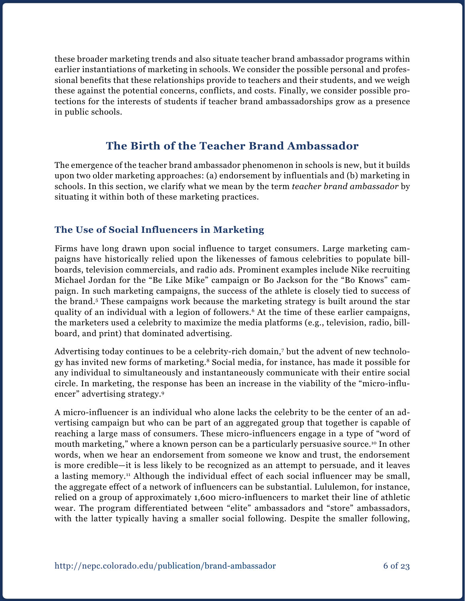these broader marketing trends and also situate teacher brand ambassador programs within earlier instantiations of marketing in schools. We consider the possible personal and professional benefits that these relationships provide to teachers and their students, and we weigh these against the potential concerns, conflicts, and costs. Finally, we consider possible protections for the interests of students if teacher brand ambassadorships grow as a presence in public schools.

## **The Birth of the Teacher Brand Ambassador**

The emergence of the teacher brand ambassador phenomenon in schools is new, but it builds upon two older marketing approaches: (a) endorsement by influentials and (b) marketing in schools. In this section, we clarify what we mean by the term *teacher brand ambassador* by situating it within both of these marketing practices.

### **The Use of Social Influencers in Marketing**

Firms have long drawn upon social influence to target consumers. Large marketing campaigns have historically relied upon the likenesses of famous celebrities to populate billboards, television commercials, and radio ads. Prominent examples include Nike recruiting Michael Jordan for the "Be Like Mike" campaign or Bo Jackson for the "Bo Knows" campaign. In such marketing campaigns, the success of the athlete is closely tied to success of the brand.<sup>5</sup> These campaigns work because the marketing strategy is built around the star quality of an individual with a legion of followers.6 At the time of these earlier campaigns, the marketers used a celebrity to maximize the media platforms (e.g., television, radio, billboard, and print) that dominated advertising.

Advertising today continues to be a celebrity-rich domain,7 but the advent of new technology has invited new forms of marketing.8 Social media, for instance, has made it possible for any individual to simultaneously and instantaneously communicate with their entire social circle. In marketing, the response has been an increase in the viability of the "micro-influencer" advertising strategy.9

A micro-influencer is an individual who alone lacks the celebrity to be the center of an advertising campaign but who can be part of an aggregated group that together is capable of reaching a large mass of consumers. These micro-influencers engage in a type of "word of mouth marketing," where a known person can be a particularly persuasive source.10 In other words, when we hear an endorsement from someone we know and trust, the endorsement is more credible—it is less likely to be recognized as an attempt to persuade, and it leaves a lasting memory.<sup>11</sup> Although the individual effect of each social influencer may be small, the aggregate effect of a network of influencers can be substantial. Lululemon, for instance, relied on a group of approximately 1,600 micro-influencers to market their line of athletic wear. The program differentiated between "elite" ambassadors and "store" ambassadors, with the latter typically having a smaller social following. Despite the smaller following,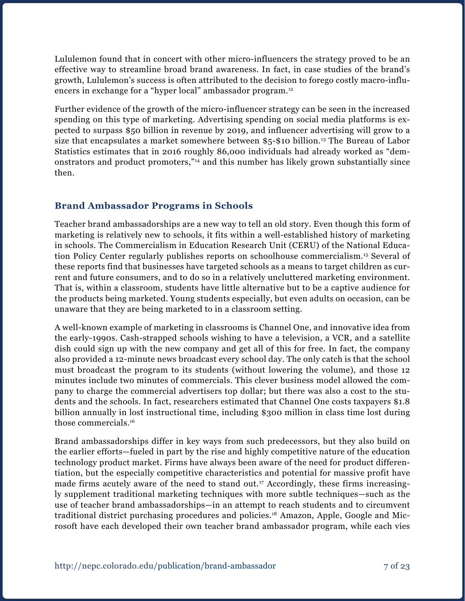Lululemon found that in concert with other micro-influencers the strategy proved to be an effective way to streamline broad brand awareness. In fact, in case studies of the brand's growth, Lululemon's success is often attributed to the decision to forego costly macro-influencers in exchange for a "hyper local" ambassador program.<sup>12</sup>

Further evidence of the growth of the micro-influencer strategy can be seen in the increased spending on this type of marketing. Advertising spending on social media platforms is expected to surpass \$50 billion in revenue by 2019, and influencer advertising will grow to a size that encapsulates a market somewhere between \$5-\$10 billion.13 The Bureau of Labor Statistics estimates that in 2016 roughly 86,000 individuals had already worked as "demonstrators and product promoters,"<sup>14</sup> and this number has likely grown substantially since then.

### **Brand Ambassador Programs in Schools**

Teacher brand ambassadorships are a new way to tell an old story. Even though this form of marketing is relatively new to schools, it fits within a well-established history of marketing in schools. The Commercialism in Education Research Unit (CERU) of the National Education Policy Center regularly publishes reports on schoolhouse commercialism.15 Several of these reports find that businesses have targeted schools as a means to target children as current and future consumers, and to do so in a relatively uncluttered marketing environment. That is, within a classroom, students have little alternative but to be a captive audience for the products being marketed. Young students especially, but even adults on occasion, can be unaware that they are being marketed to in a classroom setting.

A well-known example of marketing in classrooms is Channel One, and innovative idea from the early-1990s. Cash-strapped schools wishing to have a television, a VCR, and a satellite dish could sign up with the new company and get all of this for free. In fact, the company also provided a 12-minute news broadcast every school day. The only catch is that the school must broadcast the program to its students (without lowering the volume), and those 12 minutes include two minutes of commercials. This clever business model allowed the company to charge the commercial advertisers top dollar; but there was also a cost to the students and the schools. In fact, researchers estimated that Channel One costs taxpayers \$1.8 billion annually in lost instructional time, including \$300 million in class time lost during those commercials.16

Brand ambassadorships differ in key ways from such predecessors, but they also build on the earlier efforts—fueled in part by the rise and highly competitive nature of the education technology product market. Firms have always been aware of the need for product differentiation, but the especially competitive characteristics and potential for massive profit have made firms acutely aware of the need to stand out.<sup>17</sup> Accordingly, these firms increasingly supplement traditional marketing techniques with more subtle techniques—such as the use of teacher brand ambassadorships—in an attempt to reach students and to circumvent traditional district purchasing procedures and policies.<sup>18</sup> Amazon, Apple, Google and Microsoft have each developed their own teacher brand ambassador program, while each vies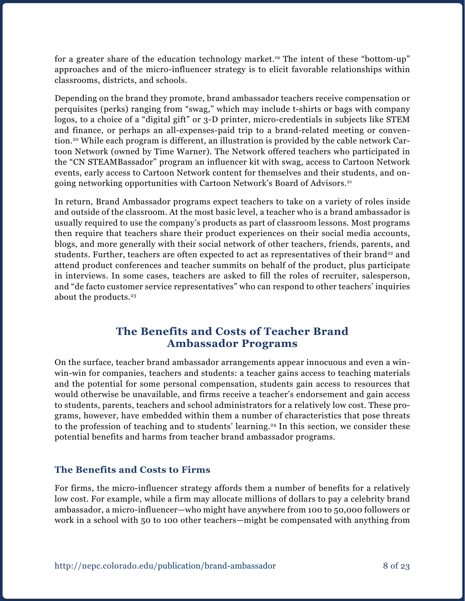for a greater share of the education technology market.<sup>19</sup> The intent of these "bottom-up" approaches and of the micro-influencer strategy is to elicit favorable relationships within classrooms, districts, and schools.

Depending on the brand they promote, brand ambassador teachers receive compensation or perquisites (perks) ranging from "swag," which may include t-shirts or bags with company logos, to a choice of a "digital gift" or 3-D printer, micro-credentials in subjects like STEM and finance, or perhaps an all-expenses-paid trip to a brand-related meeting or convention.20 While each program is different, an illustration is provided by the cable network Cartoon Network (owned by Time Warner). The Network offered teachers who participated in the "CN STEAMBassador" program an influencer kit with swag, access to Cartoon Network events, early access to Cartoon Network content for themselves and their students, and ongoing networking opportunities with Cartoon Network's Board of Advisors.<sup>21</sup>

In return, Brand Ambassador programs expect teachers to take on a variety of roles inside and outside of the classroom. At the most basic level, a teacher who is a brand ambassador is usually required to use the company's products as part of classroom lessons. Most programs then require that teachers share their product experiences on their social media accounts, blogs, and more generally with their social network of other teachers, friends, parents, and students. Further, teachers are often expected to act as representatives of their brand<sup>22</sup> and attend product conferences and teacher summits on behalf of the product, plus participate in interviews. In some cases, teachers are asked to fill the roles of recruiter, salesperson, and "de facto customer service representatives" who can respond to other teachers' inquiries about the products.<sup>23</sup>

## **The Benefits and Costs of Teacher Brand Ambassador Programs**

On the surface, teacher brand ambassador arrangements appear innocuous and even a winwin-win for companies, teachers and students: a teacher gains access to teaching materials and the potential for some personal compensation, students gain access to resources that would otherwise be unavailable, and firms receive a teacher's endorsement and gain access to students, parents, teachers and school administrators for a relatively low cost. These programs, however, have embedded within them a number of characteristics that pose threats to the profession of teaching and to students' learning.<sup>24</sup> In this section, we consider these potential benefits and harms from teacher brand ambassador programs.

### **The Benefits and Costs to Firms**

For firms, the micro-influencer strategy affords them a number of benefits for a relatively low cost. For example, while a firm may allocate millions of dollars to pay a celebrity brand ambassador, a micro-influencer—who might have anywhere from 100 to 50,000 followers or work in a school with 50 to 100 other teachers—might be compensated with anything from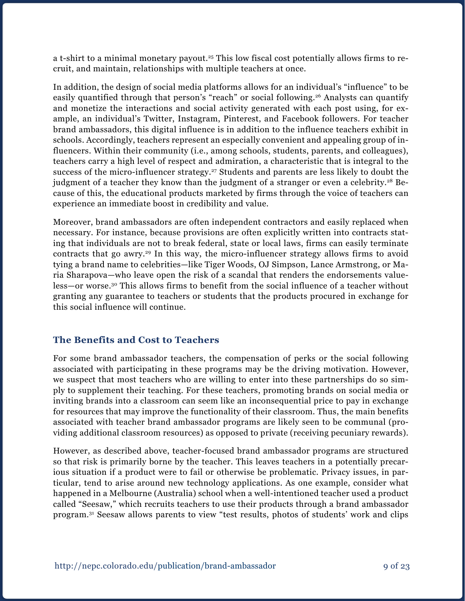a t-shirt to a minimal monetary payout.<sup>25</sup> This low fiscal cost potentially allows firms to recruit, and maintain, relationships with multiple teachers at once.

In addition, the design of social media platforms allows for an individual's "influence" to be easily quantified through that person's "reach" or social following.<sup>26</sup> Analysts can quantify and monetize the interactions and social activity generated with each post using, for example, an individual's Twitter, Instagram, Pinterest, and Facebook followers. For teacher brand ambassadors, this digital influence is in addition to the influence teachers exhibit in schools. Accordingly, teachers represent an especially convenient and appealing group of influencers. Within their community (i.e., among schools, students, parents, and colleagues), teachers carry a high level of respect and admiration, a characteristic that is integral to the success of the micro-influencer strategy.<sup>27</sup> Students and parents are less likely to doubt the judgment of a teacher they know than the judgment of a stranger or even a celebrity.<sup>28</sup> Because of this, the educational products marketed by firms through the voice of teachers can experience an immediate boost in credibility and value.

Moreover, brand ambassadors are often independent contractors and easily replaced when necessary. For instance, because provisions are often explicitly written into contracts stating that individuals are not to break federal, state or local laws, firms can easily terminate contracts that go awry.<sup>29</sup> In this way, the micro-influencer strategy allows firms to avoid tying a brand name to celebrities—like Tiger Woods, OJ Simpson, Lance Armstrong, or Maria Sharapova—who leave open the risk of a scandal that renders the endorsements valueless—or worse.30 This allows firms to benefit from the social influence of a teacher without granting any guarantee to teachers or students that the products procured in exchange for this social influence will continue.

### **The Benefits and Cost to Teachers**

For some brand ambassador teachers, the compensation of perks or the social following associated with participating in these programs may be the driving motivation. However, we suspect that most teachers who are willing to enter into these partnerships do so simply to supplement their teaching. For these teachers, promoting brands on social media or inviting brands into a classroom can seem like an inconsequential price to pay in exchange for resources that may improve the functionality of their classroom. Thus, the main benefits associated with teacher brand ambassador programs are likely seen to be communal (providing additional classroom resources) as opposed to private (receiving pecuniary rewards).

However, as described above, teacher-focused brand ambassador programs are structured so that risk is primarily borne by the teacher. This leaves teachers in a potentially precarious situation if a product were to fail or otherwise be problematic. Privacy issues, in particular, tend to arise around new technology applications. As one example, consider what happened in a Melbourne (Australia) school when a well-intentioned teacher used a product called "Seesaw," which recruits teachers to use their products through a brand ambassador program.31 Seesaw allows parents to view "test results, photos of students' work and clips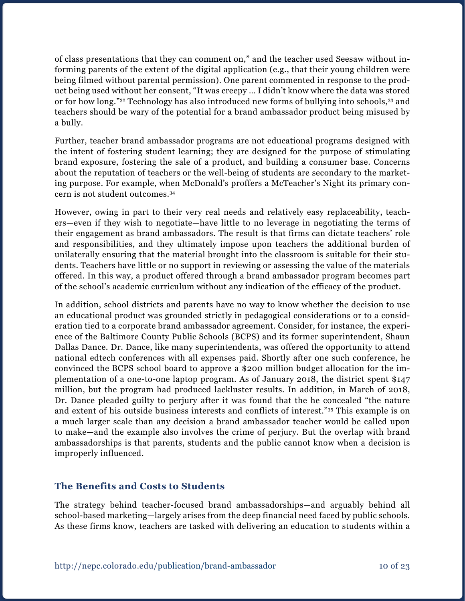of class presentations that they can comment on," and the teacher used Seesaw without informing parents of the extent of the digital application (e.g., that their young children were being filmed without parental permission). One parent commented in response to the product being used without her consent, "It was creepy … I didn't know where the data was stored or for how long."32 Technology has also introduced new forms of bullying into schools,33 and teachers should be wary of the potential for a brand ambassador product being misused by a bully.

Further, teacher brand ambassador programs are not educational programs designed with the intent of fostering student learning; they are designed for the purpose of stimulating brand exposure, fostering the sale of a product, and building a consumer base. Concerns about the reputation of teachers or the well-being of students are secondary to the marketing purpose. For example, when McDonald's proffers a McTeacher's Night its primary concern is not student outcomes.34

However, owing in part to their very real needs and relatively easy replaceability, teachers—even if they wish to negotiate—have little to no leverage in negotiating the terms of their engagement as brand ambassadors. The result is that firms can dictate teachers' role and responsibilities, and they ultimately impose upon teachers the additional burden of unilaterally ensuring that the material brought into the classroom is suitable for their students. Teachers have little or no support in reviewing or assessing the value of the materials offered. In this way, a product offered through a brand ambassador program becomes part of the school's academic curriculum without any indication of the efficacy of the product.

In addition, school districts and parents have no way to know whether the decision to use an educational product was grounded strictly in pedagogical considerations or to a consideration tied to a corporate brand ambassador agreement. Consider, for instance, the experience of the Baltimore County Public Schools (BCPS) and its former superintendent, Shaun Dallas Dance. Dr. Dance, like many superintendents, was offered the opportunity to attend national edtech conferences with all expenses paid. Shortly after one such conference, he convinced the BCPS school board to approve a \$200 million budget allocation for the implementation of a one-to-one laptop program. As of January 2018, the district spent \$147 million, but the program had produced lackluster results. In addition, in March of 2018, Dr. Dance pleaded guilty to perjury after it was found that the he concealed "the nature and extent of his outside business interests and conflicts of interest."35 This example is on a much larger scale than any decision a brand ambassador teacher would be called upon to make—and the example also involves the crime of perjury. But the overlap with brand ambassadorships is that parents, students and the public cannot know when a decision is improperly influenced.

### **The Benefits and Costs to Students**

The strategy behind teacher-focused brand ambassadorships—and arguably behind all school-based marketing—largely arises from the deep financial need faced by public schools. As these firms know, teachers are tasked with delivering an education to students within a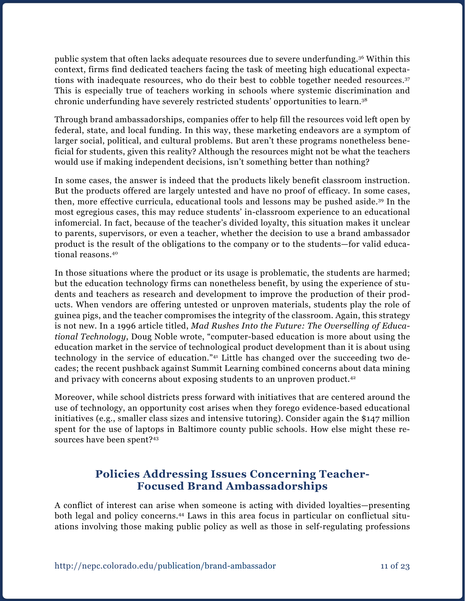public system that often lacks adequate resources due to severe underfunding.36 Within this context, firms find dedicated teachers facing the task of meeting high educational expectations with inadequate resources, who do their best to cobble together needed resources.<sup>37</sup> This is especially true of teachers working in schools where systemic discrimination and chronic underfunding have severely restricted students' opportunities to learn.38

Through brand ambassadorships, companies offer to help fill the resources void left open by federal, state, and local funding. In this way, these marketing endeavors are a symptom of larger social, political, and cultural problems. But aren't these programs nonetheless beneficial for students, given this reality? Although the resources might not be what the teachers would use if making independent decisions, isn't something better than nothing?

In some cases, the answer is indeed that the products likely benefit classroom instruction. But the products offered are largely untested and have no proof of efficacy. In some cases, then, more effective curricula, educational tools and lessons may be pushed aside.39 In the most egregious cases, this may reduce students' in-classroom experience to an educational infomercial. In fact, because of the teacher's divided loyalty, this situation makes it unclear to parents, supervisors, or even a teacher, whether the decision to use a brand ambassador product is the result of the obligations to the company or to the students—for valid educational reasons.40

In those situations where the product or its usage is problematic, the students are harmed; but the education technology firms can nonetheless benefit, by using the experience of students and teachers as research and development to improve the production of their products. When vendors are offering untested or unproven materials, students play the role of guinea pigs, and the teacher compromises the integrity of the classroom. Again, this strategy is not new. In a 1996 article titled, *Mad Rushes Into the Future: The Overselling of Educational Technology*, Doug Noble wrote, "computer-based education is more about using the education market in the service of technological product development than it is about using technology in the service of education."41 Little has changed over the succeeding two decades; the recent pushback against Summit Learning combined concerns about data mining and privacy with concerns about exposing students to an unproven product.<sup>42</sup>

Moreover, while school districts press forward with initiatives that are centered around the use of technology, an opportunity cost arises when they forego evidence-based educational initiatives (e.g., smaller class sizes and intensive tutoring). Consider again the \$147 million spent for the use of laptops in Baltimore county public schools. How else might these resources have been spent?43

## **Policies Addressing Issues Concerning Teacher-Focused Brand Ambassadorships**

A conflict of interest can arise when someone is acting with divided loyalties—presenting both legal and policy concerns.<sup>44</sup> Laws in this area focus in particular on conflictual situations involving those making public policy as well as those in self-regulating professions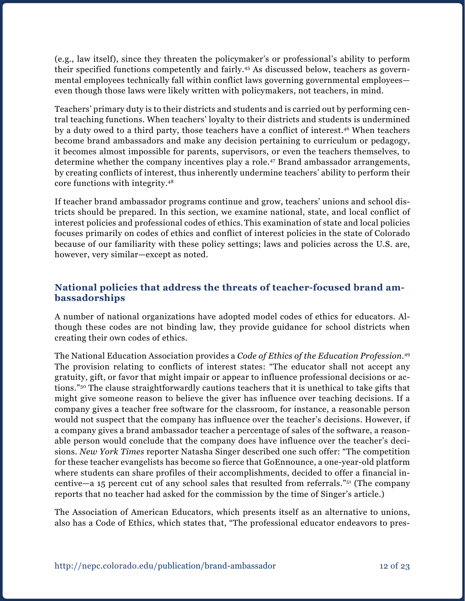(e.g., law itself), since they threaten the policymaker's or professional's ability to perform their specified functions competently and fairly.45 As discussed below, teachers as governmental employees technically fall within conflict laws governing governmental employees even though those laws were likely written with policymakers, not teachers, in mind.

Teachers' primary duty is to their districts and students and is carried out by performing central teaching functions. When teachers' loyalty to their districts and students is undermined by a duty owed to a third party, those teachers have a conflict of interest.46 When teachers become brand ambassadors and make any decision pertaining to curriculum or pedagogy, it becomes almost impossible for parents, supervisors, or even the teachers themselves, to determine whether the company incentives play a role.47 Brand ambassador arrangements, by creating conflicts of interest, thus inherently undermine teachers' ability to perform their core functions with integrity.48

If teacher brand ambassador programs continue and grow, teachers' unions and school districts should be prepared. In this section, we examine national, state, and local conflict of interest policies and professional codes of ethics. This examination of state and local policies focuses primarily on codes of ethics and conflict of interest policies in the state of Colorado because of our familiarity with these policy settings; laws and policies across the U.S. are, however, very similar—except as noted.

#### **National policies that address the threats of teacher-focused brand ambassadorships**

A number of national organizations have adopted model codes of ethics for educators. Although these codes are not binding law, they provide guidance for school districts when creating their own codes of ethics.

The National Education Association provides a *Code of Ethics of the Education Profession*. 49 The provision relating to conflicts of interest states: "The educator shall not accept any gratuity, gift, or favor that might impair or appear to influence professional decisions or actions."50 The clause straightforwardly cautions teachers that it is unethical to take gifts that might give someone reason to believe the giver has influence over teaching decisions. If a company gives a teacher free software for the classroom, for instance, a reasonable person would not suspect that the company has influence over the teacher's decisions. However, if a company gives a brand ambassador teacher a percentage of sales of the software, a reasonable person would conclude that the company does have influence over the teacher's decisions. *New York Times* reporter Natasha Singer described one such offer: "The competition for these teacher evangelists has become so fierce that GoEnnounce, a one-year-old platform where students can share profiles of their accomplishments, decided to offer a financial incentive—a 15 percent cut of any school sales that resulted from referrals."51 (The company reports that no teacher had asked for the commission by the time of Singer's article.)

The Association of American Educators, which presents itself as an alternative to unions, also has a Code of Ethics, which states that, "The professional educator endeavors to pres-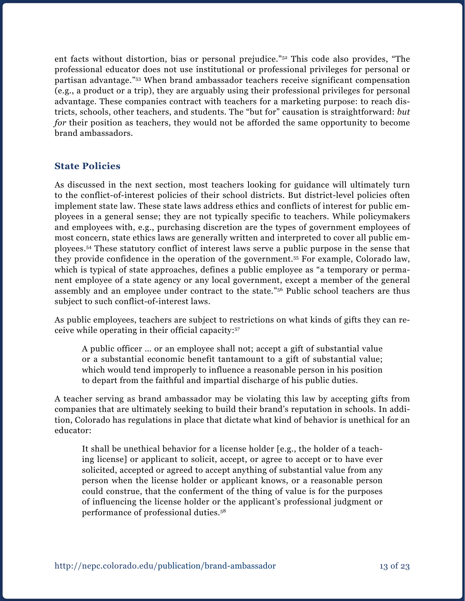ent facts without distortion, bias or personal prejudice."52 This code also provides, "The professional educator does not use institutional or professional privileges for personal or partisan advantage."53 When brand ambassador teachers receive significant compensation (e.g., a product or a trip), they are arguably using their professional privileges for personal advantage. These companies contract with teachers for a marketing purpose: to reach districts, schools, other teachers, and students. The "but for" causation is straightforward: *but for* their position as teachers, they would not be afforded the same opportunity to become brand ambassadors.

#### **State Policies**

As discussed in the next section, most teachers looking for guidance will ultimately turn to the conflict-of-interest policies of their school districts. But district-level policies often implement state law. These state laws address ethics and conflicts of interest for public employees in a general sense; they are not typically specific to teachers. While policymakers and employees with, e.g., purchasing discretion are the types of government employees of most concern, state ethics laws are generally written and interpreted to cover all public employees.54 These statutory conflict of interest laws serve a public purpose in the sense that they provide confidence in the operation of the government.55 For example, Colorado law, which is typical of state approaches, defines a public employee as "a temporary or permanent employee of a state agency or any local government, except a member of the general assembly and an employee under contract to the state."56 Public school teachers are thus subject to such conflict-of-interest laws.

As public employees, teachers are subject to restrictions on what kinds of gifts they can receive while operating in their official capacity:57

A public officer … or an employee shall not; accept a gift of substantial value or a substantial economic benefit tantamount to a gift of substantial value; which would tend improperly to influence a reasonable person in his position to depart from the faithful and impartial discharge of his public duties.

A teacher serving as brand ambassador may be violating this law by accepting gifts from companies that are ultimately seeking to build their brand's reputation in schools. In addition, Colorado has regulations in place that dictate what kind of behavior is unethical for an educator:

It shall be unethical behavior for a license holder [e.g., the holder of a teaching license] or applicant to solicit, accept, or agree to accept or to have ever solicited, accepted or agreed to accept anything of substantial value from any person when the license holder or applicant knows, or a reasonable person could construe, that the conferment of the thing of value is for the purposes of influencing the license holder or the applicant's professional judgment or performance of professional duties.58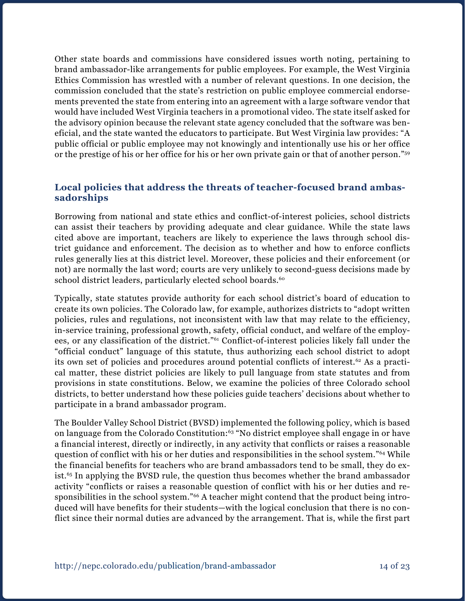Other state boards and commissions have considered issues worth noting, pertaining to brand ambassador-like arrangements for public employees. For example, the West Virginia Ethics Commission has wrestled with a number of relevant questions. In one decision, the commission concluded that the state's restriction on public employee commercial endorsements prevented the state from entering into an agreement with a large software vendor that would have included West Virginia teachers in a promotional video. The state itself asked for the advisory opinion because the relevant state agency concluded that the software was beneficial, and the state wanted the educators to participate. But West Virginia law provides: "A public official or public employee may not knowingly and intentionally use his or her office or the prestige of his or her office for his or her own private gain or that of another person."59

#### **Local policies that address the threats of teacher-focused brand ambassadorships**

Borrowing from national and state ethics and conflict-of-interest policies, school districts can assist their teachers by providing adequate and clear guidance. While the state laws cited above are important, teachers are likely to experience the laws through school district guidance and enforcement. The decision as to whether and how to enforce conflicts rules generally lies at this district level. Moreover, these policies and their enforcement (or not) are normally the last word; courts are very unlikely to second-guess decisions made by school district leaders, particularly elected school boards.<sup>60</sup>

Typically, state statutes provide authority for each school district's board of education to create its own policies. The Colorado law, for example, authorizes districts to "adopt written policies, rules and regulations, not inconsistent with law that may relate to the efficiency, in-service training, professional growth, safety, official conduct, and welfare of the employees, or any classification of the district."61 Conflict-of-interest policies likely fall under the "official conduct" language of this statute, thus authorizing each school district to adopt its own set of policies and procedures around potential conflicts of interest.62 As a practical matter, these district policies are likely to pull language from state statutes and from provisions in state constitutions. Below, we examine the policies of three Colorado school districts, to better understand how these policies guide teachers' decisions about whether to participate in a brand ambassador program.

The Boulder Valley School District (BVSD) implemented the following policy, which is based on language from the Colorado Constitution:<sup>63</sup> "No district employee shall engage in or have a financial interest, directly or indirectly, in any activity that conflicts or raises a reasonable question of conflict with his or her duties and responsibilities in the school system."64 While the financial benefits for teachers who are brand ambassadors tend to be small, they do exist.<sup>65</sup> In applying the BVSD rule, the question thus becomes whether the brand ambassador activity "conflicts or raises a reasonable question of conflict with his or her duties and responsibilities in the school system."66 A teacher might contend that the product being introduced will have benefits for their students—with the logical conclusion that there is no conflict since their normal duties are advanced by the arrangement. That is, while the first part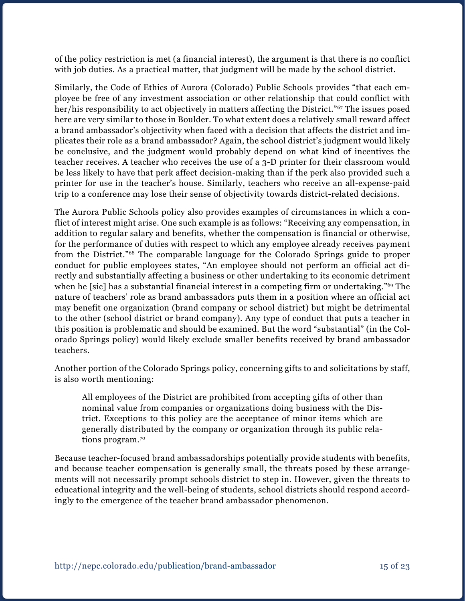of the policy restriction is met (a financial interest), the argument is that there is no conflict with job duties. As a practical matter, that judgment will be made by the school district.

Similarly, the Code of Ethics of Aurora (Colorado) Public Schools provides "that each employee be free of any investment association or other relationship that could conflict with her/his responsibility to act objectively in matters affecting the District."<sup>67</sup> The issues posed here are very similar to those in Boulder. To what extent does a relatively small reward affect a brand ambassador's objectivity when faced with a decision that affects the district and implicates their role as a brand ambassador? Again, the school district's judgment would likely be conclusive, and the judgment would probably depend on what kind of incentives the teacher receives. A teacher who receives the use of a 3-D printer for their classroom would be less likely to have that perk affect decision-making than if the perk also provided such a printer for use in the teacher's house. Similarly, teachers who receive an all-expense-paid trip to a conference may lose their sense of objectivity towards district-related decisions.

The Aurora Public Schools policy also provides examples of circumstances in which a conflict of interest might arise. One such example is as follows: "Receiving any compensation, in addition to regular salary and benefits, whether the compensation is financial or otherwise, for the performance of duties with respect to which any employee already receives payment from the District."68 The comparable language for the Colorado Springs guide to proper conduct for public employees states, "An employee should not perform an official act directly and substantially affecting a business or other undertaking to its economic detriment when he [sic] has a substantial financial interest in a competing firm or undertaking."<sup>69</sup> The nature of teachers' role as brand ambassadors puts them in a position where an official act may benefit one organization (brand company or school district) but might be detrimental to the other (school district or brand company). Any type of conduct that puts a teacher in this position is problematic and should be examined. But the word "substantial" (in the Colorado Springs policy) would likely exclude smaller benefits received by brand ambassador teachers.

Another portion of the Colorado Springs policy, concerning gifts to and solicitations by staff, is also worth mentioning:

All employees of the District are prohibited from accepting gifts of other than nominal value from companies or organizations doing business with the District. Exceptions to this policy are the acceptance of minor items which are generally distributed by the company or organization through its public relations program.<sup>70</sup>

Because teacher-focused brand ambassadorships potentially provide students with benefits, and because teacher compensation is generally small, the threats posed by these arrangements will not necessarily prompt schools district to step in. However, given the threats to educational integrity and the well-being of students, school districts should respond accordingly to the emergence of the teacher brand ambassador phenomenon.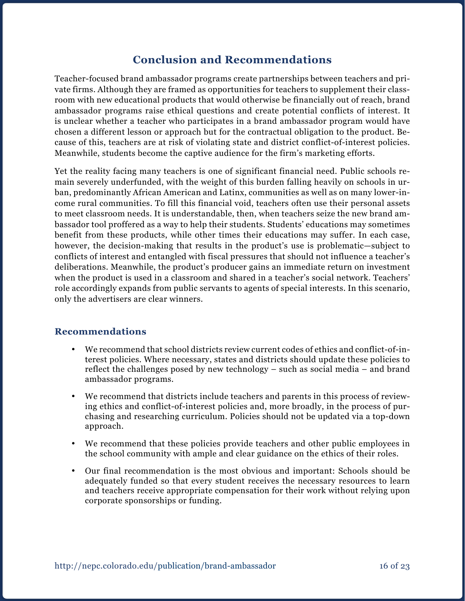## **Conclusion and Recommendations**

Teacher-focused brand ambassador programs create partnerships between teachers and private firms. Although they are framed as opportunities for teachers to supplement their classroom with new educational products that would otherwise be financially out of reach, brand ambassador programs raise ethical questions and create potential conflicts of interest. It is unclear whether a teacher who participates in a brand ambassador program would have chosen a different lesson or approach but for the contractual obligation to the product. Because of this, teachers are at risk of violating state and district conflict-of-interest policies. Meanwhile, students become the captive audience for the firm's marketing efforts.

Yet the reality facing many teachers is one of significant financial need. Public schools remain severely underfunded, with the weight of this burden falling heavily on schools in urban, predominantly African American and Latinx, communities as well as on many lower-income rural communities. To fill this financial void, teachers often use their personal assets to meet classroom needs. It is understandable, then, when teachers seize the new brand ambassador tool proffered as a way to help their students. Students' educations may sometimes benefit from these products, while other times their educations may suffer. In each case, however, the decision-making that results in the product's use is problematic—subject to conflicts of interest and entangled with fiscal pressures that should not influence a teacher's deliberations. Meanwhile, the product's producer gains an immediate return on investment when the product is used in a classroom and shared in a teacher's social network. Teachers' role accordingly expands from public servants to agents of special interests. In this scenario, only the advertisers are clear winners.

### **Recommendations**

- We recommend that school districts review current codes of ethics and conflict-of-interest policies. Where necessary, states and districts should update these policies to reflect the challenges posed by new technology – such as social media – and brand ambassador programs.
- We recommend that districts include teachers and parents in this process of reviewing ethics and conflict-of-interest policies and, more broadly, in the process of purchasing and researching curriculum. Policies should not be updated via a top-down approach.
- We recommend that these policies provide teachers and other public employees in the school community with ample and clear guidance on the ethics of their roles.
- Our final recommendation is the most obvious and important: Schools should be adequately funded so that every student receives the necessary resources to learn and teachers receive appropriate compensation for their work without relying upon corporate sponsorships or funding.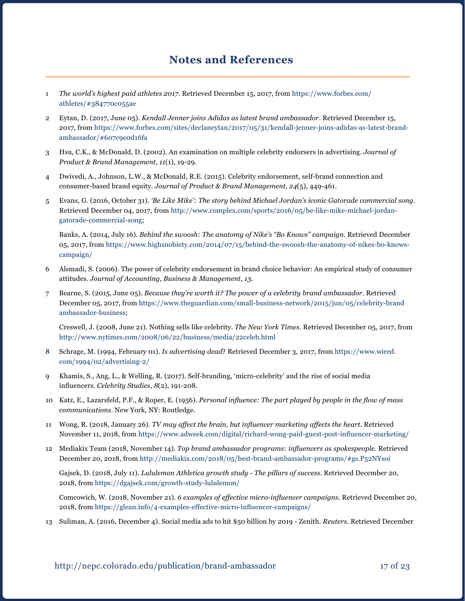## **Notes and References**

- 1 *The world's highest paid athletes 2017*. Retrieved December 15, 2017, from [https://www.forbes.com/](https://www.forbes.com/athletes/#384770c055ae) [athletes/#384770c055ae](https://www.forbes.com/athletes/#384770c055ae)
- 2 Eytan, D. (2017, June 05). *Kendall Jenner joins Adidas as latest brand ambassador*. Retrieved December 15, 2017, from https://www.forbes.com/sites/declaneytan/2017/05/31/kendall-jenner-joins-adidas-as-latest-brandambassador/#607c9e0d16fa
- 3 Hsu, C.K., & McDonald, D. (2002). An examination on multiple celebrity endorsers in advertising. *Journal of Product & Brand Management*, *11*(1), 19-29.
- 4 Dwivedi, A., Johnson, L.W., & McDonald, R.E. (2015). Celebrity endorsement, self-brand connection and consumer-based brand equity. *Journal of Product & Brand Management, 24*(5), 449-461.
- 5 Evans, G. (2016, October 31). *'Be Like Mike': The story behind Michael Jordan's iconic Gatorade commercial song*. Retrieved December 04, 2017, from [http://www.complex.com/sports/2016/05/be-like-mike-michael-jordan](http://www.complex.com/sports/2016/05/be-like-mike-michael-jordan-gatorade-commercial-song)[gatorade-commercial-song](http://www.complex.com/sports/2016/05/be-like-mike-michael-jordan-gatorade-commercial-song);

Banks, A. (2014, July 16). *Behind the swoosh: The anatomy of Nike's "Bo Knows" campaign*. Retrieved December 05, 2017, from [https://www.highsnobiety.com/2014/07/15/behind-the-swoosh-the-anatomy-of-nikes-bo-knows](https://www.highsnobiety.com/2014/07/15/behind-the-swoosh-the-anatomy-of-nikes-bo-knows-campaign/)[campaign/](https://www.highsnobiety.com/2014/07/15/behind-the-swoosh-the-anatomy-of-nikes-bo-knows-campaign/)

- 6 Alsmadi, S. (2006). The power of celebrity endorsement in brand choice behavior: An empirical study of consumer attitudes. *Journal of Accounting, Business & Management*, *13*.
- 7 Bearne, S. (2015, June 05). *Because they're worth it? The power of a celebrity brand ambassador*. Retrieved December 05, 2017, from [https://www.theguardian.com/small-business-network/2015/jun/05/celebrity-brand](https://www.theguardian.com/small-business-network/2015/jun/05/celebrity-brand-ambassador-business)  [ambassador-business](https://www.theguardian.com/small-business-network/2015/jun/05/celebrity-brand-ambassador-business);

Creswell, J. (2008, June 21). Nothing sells like celebrity. *The New York Times*. Retrieved December 05, 2017, from <http://www.nytimes.com/2008/06/22/business/media/22celeb.html>

- 8 Schrage, M. (1994, February 01). *Is advertising dead*? Retrieved December 3, 2017, from [https://www.wired.](https://www.wired.com/1994/02/advertising-2/) [com/1994/02/advertising-2/](https://www.wired.com/1994/02/advertising-2/)
- 9 Khamis, S., Ang, L., & Welling, R. (2017). Self-branding, 'micro-celebrity' and the rise of social media influencers. *Celebrity Studies*, *8*(2), 191-208.
- 10 Katz, E., Lazarsfeld, P.F., & Roper, E. (1956). *Personal influence: The part played by people in the flow of mass communications*. New York, NY: Routledge.
- 11 Wong, R. (2018, January 26). *TV may affect the brain, but influencer marketing affects the heart*. Retrieved November 11, 2018, from <https://www.adweek.com/digital/richard-wong-paid-guest-post-influencer-marketing/>
- 12 Mediakix Team (2018, November 14). *Top brand ambassador programs: influencers as spokespeople*. Retrieved December 20, 2018, from<http://mediakix.com/2018/05/best-brand-ambassador-programs/#gs.P52NYsoi>

Gajsek, D. (2018, July 11). *Lululemon Athletica growth study - The pillars of success*. Retrieved December 20, 2018, from <https://dgajsek.com/growth-study-lululemon/>

Comcowich, W. (2018, November 21). *6 examples of effective micro-influencer campaigns*. Retrieved December 20, 2018, from <https://glean.info/4-examples-effective-micro-influencer-campaigns/>

13 Suliman, A. (2016, December 4). Social media ads to hit \$50 billion by 2019 - Zenith. *Reuters*. Retrieved December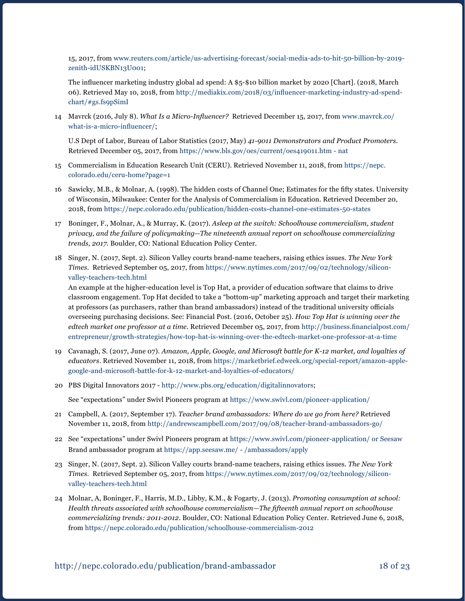15, 2017, from [www.reuters.com/article/us-advertising-forecast/social-media-ads-to-hit-50-billion-by-2019](http://www.reuters.com/article/us-advertising-forecast/social-media-ads-to-hit-50-billion-by-2019-zenith-idUSKBN13U001) [zenith-idUSKBN13U001](http://www.reuters.com/article/us-advertising-forecast/social-media-ads-to-hit-50-billion-by-2019-zenith-idUSKBN13U001);

The influencer marketing industry global ad spend: A \$5-\$10 billion market by 2020 [Chart]. (2018, March 06). Retrieved May 10, 2018, from [http://mediakix.com/2018/03/influencer-marketing-industry-ad-spend](http://mediakix.com/2018/03/influencer-marketing-industry-ad-spend-chart/#gs.fs9pSimI)[chart/#gs.fs9pSimI](http://mediakix.com/2018/03/influencer-marketing-industry-ad-spend-chart/#gs.fs9pSimI)

14 Mavrck (2016, July 8). *What Is a Micro-Influencer?* Retrieved December 15, 2017, from [www.mavrck.co/](http://www.mavrck.co/what-is-a-micro-influencer/) [what-is-a-micro-influencer/](http://www.mavrck.co/what-is-a-micro-influencer/);

U.S Dept of Labor, Bureau of Labor Statistics (2017, May) *41-9011 Demonstrators and Product Promoters*. Retrieved December 05, 2017, from <https://www.bls.gov/oes/current/oes419011.htm - nat>

- 15 Commercialism in Education Research Unit (CERU). Retrieved November 11, 2018, from [https://nepc.](https://nepc.colorado.edu/ceru-home?page=1) [colorado.edu/ceru-home?page=1](https://nepc.colorado.edu/ceru-home?page=1)
- 16 Sawicky, M.B., & Molnar, A. (1998). The hidden costs of Channel One; Estimates for the fifty states. University of Wisconsin, Milwaukee: Center for the Analysis of Commercialism in Education. Retrieved December 20, 2018, from <https://nepc.colorado.edu/publication/hidden-costs-channel-one-estimates-50-states>
- 17 Boninger, F., Molnar, A., & Murray, K. (2017). *Asleep at the switch: Schoolhouse commercialism, student privacy, and the failure of policymaking--The nineteenth annual report on schoolhouse commercializing trends, 2017.* Boulder, CO: National Education Policy Center.
- 18 Singer, N. (2017, Sept. 2). Silicon Valley courts brand-name teachers, raising ethics issues. *The New York Times*. Retrieved September 05, 2017, from [https://www.nytimes.com/2017/09/02/technology/silicon](https://www.nytimes.com/2017/09/02/technology/silicon-valley-teachers-tech.html)[valley-teachers-tech.html](https://www.nytimes.com/2017/09/02/technology/silicon-valley-teachers-tech.html)

An example at the higher-education level is Top Hat, a provider of education software that claims to drive classroom engagement. Top Hat decided to take a "bottom-up" marketing approach and target their marketing at professors (as purchasers, rather than brand ambassadors) instead of the traditional university officials overseeing purchasing decisions. See: Financial Post. (2016, October 25). *How Top Hat is winning over the edtech market one professor at a time.* Retrieved December 05, 2017, from [http://business.financialpost.com/](http://business.financialpost.com/entrepreneur/growth-strategies/how-top-hat-is-winning-over-the-edtech-market-one-professor-at-a-time) [entrepreneur/growth-strategies/how-top-hat-is-winning-over-the-edtech-market-one-professor-at-a-time](http://business.financialpost.com/entrepreneur/growth-strategies/how-top-hat-is-winning-over-the-edtech-market-one-professor-at-a-time)

- 19 Cavanagh, S. (2017, June 07). *Amazon, Apple, Google, and Microsoft battle for K-12 market, and loyalties of educators*. Retrieved November 11, 2018, from [https://marketbrief.edweek.org/special-report/amazon-apple](https://marketbrief.edweek.org/special-report/amazon-apple-google-and-microsoft-battle-for-k-12-market-and-loyalties-of-educators/)[google-and-microsoft-battle-for-k-12-market-and-loyalties-of-educators/](https://marketbrief.edweek.org/special-report/amazon-apple-google-and-microsoft-battle-for-k-12-market-and-loyalties-of-educators/)
- 20 PBS Digital Innovators 2017 [http://www.pbs.org/education/digitalinnovators;](http://www.pbs.org/education/digitalinnovators)

See "expectations" under Swivl Pioneers program at <https://www.swivl.com/pioneer-application/>

- 21 Campbell, A. (2017, September 17). *Teacher brand ambassadors: Where do we go from here?* Retrieved November 11, 2018, from<http://andrewscampbell.com/2017/09/08/teacher-brand-ambassadors-go/>
- 22 See "expectations" under Swivl Pioneers program at <https://www.swivl.com/pioneer-application/> or Seesaw Brand ambassador program at <https://app.seesaw.me/ - /ambassadors/apply>
- 23 Singer, N. (2017, Sept. 2). Silicon Valley courts brand-name teachers, raising ethics issues. *The New York Times*. Retrieved September 05, 2017, from [https://www.nytimes.com/2017/09/02/technology/silicon](https://www.nytimes.com/2017/09/02/technology/silicon-valley-teachers-tech.html)[valley-teachers-tech.html](https://www.nytimes.com/2017/09/02/technology/silicon-valley-teachers-tech.html)
- 24 Molnar, A, Boninger, F., Harris, M.D., Libby, K.M., & Fogarty, J. (2013). *Promoting consumption at school: Health threats associated with schoolhouse commercialism—The fifteenth annual report on schoolhouse commercializing trends: 2011-2012.* Boulder, CO: National Education Policy Center. Retrieved June 6, 2018, from <https://nepc.colorado.edu/publication/schoolhouse-commercialism-2012>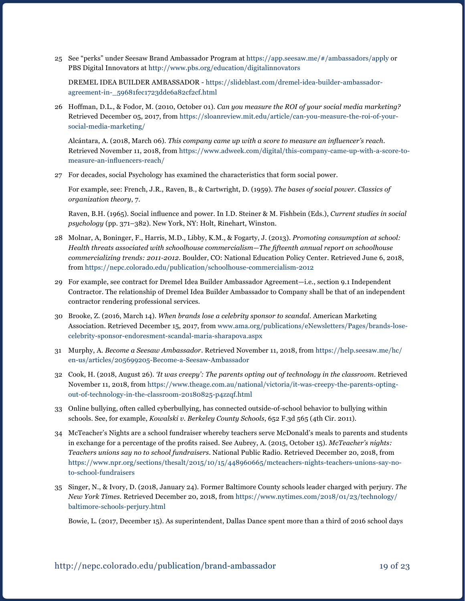25 See "perks" under Seesaw Brand Ambassador Program at <https://app.seesaw.me/#/ambassadors/apply> or PBS Digital Innovators at <http://www.pbs.org/education/digitalinnovators>

DREMEL IDEA BUILDER AMBASSADOR - [https://slideblast.com/dremel-idea-builder-ambassador](https://slideblast.com/dremel-idea-builder-ambassador-agreement-in-_59681fec1723dde6a82cf2cf.html)[agreement-in-\\_59681fec1723dde6a82cf2cf.html](https://slideblast.com/dremel-idea-builder-ambassador-agreement-in-_59681fec1723dde6a82cf2cf.html)

26 Hoffman, D.L., & Fodor, M. (2010, October 01). *Can you measure the ROI of your social media marketing?* Retrieved December 05, 2017, from [https://sloanreview.mit.edu/article/can-you-measure-the-roi-of-your](https://sloanreview.mit.edu/article/can-you-measure-the-roi-of-your-social-media-marketing/)[social-media-marketing/](https://sloanreview.mit.edu/article/can-you-measure-the-roi-of-your-social-media-marketing/)

Alcántara, A. (2018, March 06). *This company came up with a score to measure an influencer's reach*. Retrieved November 11, 2018, from [https://www.adweek.com/digital/this-company-came-up-with-a-score-to](https://www.adweek.com/digital/this-company-came-up-with-a-score-to-measure-an-influencers-reach/)[measure-an-influencers-reach/](https://www.adweek.com/digital/this-company-came-up-with-a-score-to-measure-an-influencers-reach/)

27 For decades, social Psychology has examined the characteristics that form social power.

For example, see: French, J.R., Raven, B., & Cartwright, D. (1959). *The bases of social power. Classics of organization theory*, 7.

Raven, B.H. (1965). Social influence and power. In I.D. Steiner & M. Fishbein (Eds.), *Current studies in social psychology* (pp. 371–382). New York, NY: Holt, Rinehart, Winston.

- 28 Molnar, A, Boninger, F., Harris, M.D., Libby, K.M., & Fogarty, J. (2013). *Promoting consumption at school: Health threats associated with schoolhouse commercialism—The fifteenth annual report on schoolhouse commercializing trends: 2011-2012.* Boulder, CO: National Education Policy Center. Retrieved June 6, 2018, from <https://nepc.colorado.edu/publication/schoolhouse-commercialism-2012>
- 29 For example, see contract for Dremel Idea Builder Ambassador Agreement—i.e., section 9.1 Independent Contractor. The relationship of Dremel Idea Builder Ambassador to Company shall be that of an independent contractor rendering professional services.
- 30 Brooke, Z. (2016, March 14). *When brands lose a celebrity sponsor to scandal*. American Marketing Association. Retrieved December 15, 2017, from [www.ama.org/publications/eNewsletters/Pages/brands-lose](http://www.ama.org/publications/eNewsletters/Pages/brands-lose-celebrity-sponsor-endoresment-scandal-maria-sharapova.aspx)[celebrity-sponsor-endoresment-scandal-maria-sharapova.aspx](http://www.ama.org/publications/eNewsletters/Pages/brands-lose-celebrity-sponsor-endoresment-scandal-maria-sharapova.aspx)
- 31 Murphy, A. *Become a Seesaw Ambassador*. Retrieved November 11, 2018, from [https://help.seesaw.me/hc/](https://help.seesaw.me/hc/en-us/articles/205699205-Become-a-Seesaw-Ambassador) [en-us/articles/205699205-Become-a-Seesaw-Ambassador](https://help.seesaw.me/hc/en-us/articles/205699205-Become-a-Seesaw-Ambassador)
- 32 Cook, H. (2018, August 26). *'It was creepy': The parents opting out of technology in the classroom*. Retrieved November 11, 2018, from [https://www.theage.com.au/national/victoria/it-was-creepy-the-parents-opting](https://www.theage.com.au/national/victoria/it-was-creepy-the-parents-opting-out-of-technology-in-the-classroom-20180825-p4zzqf.html)[out-of-technology-in-the-classroom-20180825-p4zzqf.html](https://www.theage.com.au/national/victoria/it-was-creepy-the-parents-opting-out-of-technology-in-the-classroom-20180825-p4zzqf.html)
- 33 Online bullying, often called cyberbullying, has connected outside-of-school behavior to bullying within schools. See, for example, *Kowalski v. Berkeley County Schools*, 652 F.3d 565 (4th Cir. 2011).
- 34 McTeacher's Nights are a school fundraiser whereby teachers serve McDonald's meals to parents and students in exchange for a percentage of the profits raised. See Aubrey, A. (2015, October 15). *McTeacher's nights: Teachers unions say no to school fundraisers*. National Public Radio. Retrieved December 20, 2018, from [https://www.npr.org/sections/thesalt/2015/10/15/448960665/mcteachers-nights-teachers-unions-say-no](https://www.npr.org/sections/thesalt/2015/10/15/448960665/mcteachers-nights-teachers-unions-say-no-to-school-fundraisers)[to-school-fundraisers](https://www.npr.org/sections/thesalt/2015/10/15/448960665/mcteachers-nights-teachers-unions-say-no-to-school-fundraisers)
- 35 Singer, N., & Ivory, D. (2018, January 24). Former Baltimore County schools leader charged with perjury. *The New York Times*. Retrieved December 20, 2018, from [https://www.nytimes.com/2018/01/23/technology/](https://www.nytimes.com/2018/01/23/technology/baltimore-schools-perjury.html) [baltimore-schools-perjury.html](https://www.nytimes.com/2018/01/23/technology/baltimore-schools-perjury.html)

Bowie, L. (2017, December 15). As superintendent, Dallas Dance spent more than a third of 2016 school days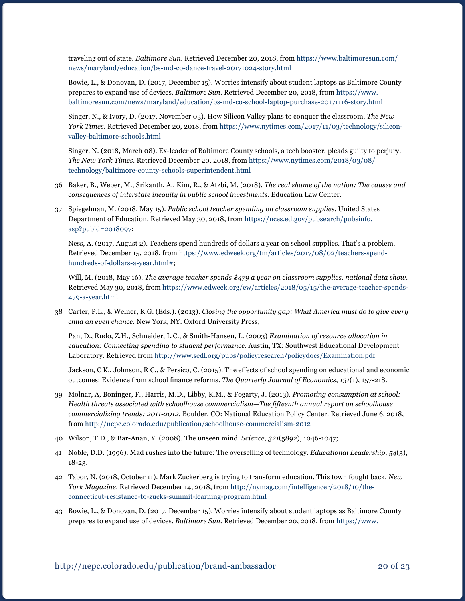traveling out of state. *Baltimore Sun*. Retrieved December 20, 2018, from [https://www.baltimoresun.com/](https://www.baltimoresun.com/news/maryland/education/bs-md-co-dance-travel-20171024-story.html) [news/maryland/education/bs-md-co-dance-travel-20171024-story.html](https://www.baltimoresun.com/news/maryland/education/bs-md-co-dance-travel-20171024-story.html)

Bowie, L., & Donovan, D. (2017, December 15). Worries intensify about student laptops as Baltimore County prepares to expand use of devices. *Baltimore Sun*. Retrieved December 20, 2018, from [https://www.](https://www.baltimoresun.com/news/maryland/education/bs-md-co-school-laptop-purchase-20171116-story.html) [baltimoresun.com/news/maryland/education/bs-md-co-school-laptop-purchase-20171116-story.html](https://www.baltimoresun.com/news/maryland/education/bs-md-co-school-laptop-purchase-20171116-story.html)

Singer, N., & Ivory, D. (2017, November 03). How Silicon Valley plans to conquer the classroom. *The New York Times*. Retrieved December 20, 2018, from [https://www.nytimes.com/2017/11/03/technology/silicon](https://www.nytimes.com/2017/11/03/technology/silicon-valley-baltimore-schools.html)[valley-baltimore-schools.html](https://www.nytimes.com/2017/11/03/technology/silicon-valley-baltimore-schools.html)

Singer, N. (2018, March 08). Ex-leader of Baltimore County schools, a tech booster, pleads guilty to perjury. *The New York Times*. Retrieved December 20, 2018, from [https://www.nytimes.com/2018/03/08/](https://www.nytimes.com/2018/03/08/technology/baltimore-county-schools-superintendent.html) [technology/baltimore-county-schools-superintendent.html](https://www.nytimes.com/2018/03/08/technology/baltimore-county-schools-superintendent.html)

- 36 Baker, B., Weber, M., Srikanth, A., Kim, R., & Atzbi, M. (2018). *The real shame of the nation: The causes and consequences of interstate inequity in public school investments*. Education Law Center.
- 37 Spiegelman, M. (2018, May 15). *Public school teacher spending on classroom supplies*. United States Department of Education. Retrieved May 30, 2018, from [https://nces.ed.gov/pubsearch/pubsinfo.](https://nces.ed.gov/pubsearch/pubsinfo.asp?pubid=2018097) [asp?pubid=2018097](https://nces.ed.gov/pubsearch/pubsinfo.asp?pubid=2018097);

Ness, A. (2017, August 2). Teachers spend hundreds of dollars a year on school supplies. That's a problem. Retrieved December 15, 2018, from [https://www.edweek.org/tm/articles/2017/08/02/teachers-spend](https://www.edweek.org/tm/articles/2017/08/02/teachers-spend-hundreds-of-dollars-a-year.html)[hundreds-of-dollars-a-year.html#](https://www.edweek.org/tm/articles/2017/08/02/teachers-spend-hundreds-of-dollars-a-year.html);

Will, M. (2018, May 16). *The average teacher spends \$479 a year on classroom supplies, national data show*. Retrieved May 30, 2018, from [https://www.edweek.org/ew/articles/2018/05/15/the-average-teacher-spends-](https://www.edweek.org/ew/articles/2018/05/15/the-average-teacher-spends-479-a-year.html)[479-a-year.html](https://www.edweek.org/ew/articles/2018/05/15/the-average-teacher-spends-479-a-year.html)

38 Carter, P.L., & Welner, K.G. (Eds.). (2013). *Closing the opportunity gap: What America must do to give every child an even chance*. New York, NY: Oxford University Press;

Pan, D., Rudo, Z.H., Schneider, L.C., & Smith-Hansen, L. (2003) *Examination of resource allocation in education: Connecting spending to student performance.* Austin, TX: Southwest Educational Development Laboratory. Retrieved from <http://www.sedl.org/pubs/policyresearch/policydocs/Examination.pdf>

Jackson, C K., Johnson, R C., & Persico, C. (2015). The effects of school spending on educational and economic outcomes: Evidence from school finance reforms. *The Quarterly Journal of Economics*, *131*(1), 157-218.

- 39 Molnar, A, Boninger, F., Harris, M.D., Libby, K.M., & Fogarty, J. (2013). *Promoting consumption at school: Health threats associated with schoolhouse commercialism—The fifteenth annual report on schoolhouse commercializing trends: 2011-2012.* Boulder, CO: National Education Policy Center. Retrieved June 6, 2018, from <http://nepc.colorado.edu/publication/schoolhouse-commercialism-2012>
- 40 Wilson, T.D., & Bar-Anan, Y. (2008). The unseen mind. *Science*, *321*(5892), 1046-1047;
- 41 Noble, D.D. (1996). Mad rushes into the future: The overselling of technology. *Educational Leadership*, *54*(3), 18-23.
- 42 Tabor, N. (2018, October 11). Mark Zuckerberg is trying to transform education. This town fought back. *New York Magazine*. Retrieved December 14, 2018, from [http://nymag.com/intelligencer/2018/10/the](http://nymag.com/intelligencer/2018/10/the-connecticut-resistance-to-zucks-summit-learning-program.html)[connecticut-resistance-to-zucks-summit-learning-program.html](http://nymag.com/intelligencer/2018/10/the-connecticut-resistance-to-zucks-summit-learning-program.html)
- 43 Bowie, L., & Donovan, D. (2017, December 15). Worries intensify about student laptops as Baltimore County prepares to expand use of devices. *Baltimore Sun.* Retrieved December 20, 2018, from [https://www.](https://www.baltimoresun.com/news/maryland/education/bs-md-co-school-laptop-purchase-20171116-story.html)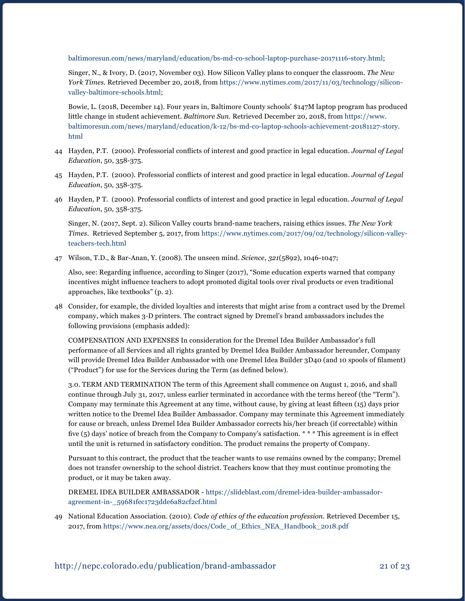[baltimoresun.com/news/maryland/education/bs-md-co-school-laptop-purchase-20171116-story.html](https://www.baltimoresun.com/news/maryland/education/bs-md-co-school-laptop-purchase-20171116-story.html);

Singer, N., & Ivory, D. (2017, November 03). How Silicon Valley plans to conquer the classroom. *The New York Times.* Retrieved December 20, 2018, from [https://www.nytimes.com/2017/11/03/technology/silicon](https://www.nytimes.com/2017/11/03/technology/silicon-valley-baltimore-schools.html)[valley-baltimore-schools.html;](https://www.nytimes.com/2017/11/03/technology/silicon-valley-baltimore-schools.html)

Bowie, L. (2018, December 14). Four years in, Baltimore County schools' \$147M laptop program has produced little change in student achievement. *Baltimore Sun.* Retrieved December 20, 2018, from [https://www.](https://www.baltimoresun.com/news/maryland/education/k-12/bs-md-co-laptop-schools-achievement-20181127-story.html) [baltimoresun.com/news/maryland/education/k-12/bs-md-co-laptop-schools-achievement-20181127-story.](https://www.baltimoresun.com/news/maryland/education/k-12/bs-md-co-laptop-schools-achievement-20181127-story.html) [html](https://www.baltimoresun.com/news/maryland/education/k-12/bs-md-co-laptop-schools-achievement-20181127-story.html)

- 44 Hayden, P.T. (2000). Professorial conflicts of interest and good practice in legal education. *Journal of Legal Education*, 50, 358-375.
- 45 Hayden, P.T. (2000). Professorial conflicts of interest and good practice in legal education. *Journal of Legal Education*, 50, 358-375.
- 46 Hayden, P T. (2000). Professorial conflicts of interest and good practice in legal education. *Journal of Legal Education*, 50, 358-375.

Singer, N. (2017, Sept. 2). Silicon Valley courts brand-name teachers, raising ethics issues. *The New York Times*. Retrieved September 5, 2017, from [https://www.nytimes.com/2017/09/02/technology/silicon-valley](https://www.nytimes.com/2017/09/02/technology/silicon-valley-teachers-tech.html)[teachers-tech.html](https://www.nytimes.com/2017/09/02/technology/silicon-valley-teachers-tech.html)

47 Wilson, T.D., & Bar-Anan, Y. (2008). The unseen mind. *Science*, *321*(5892), 1046-1047;

Also, see: Regarding influence, according to Singer (2017), "Some education experts warned that company incentives might influence teachers to adopt promoted digital tools over rival products or even traditional approaches, like textbooks" (p. 2).

48 Consider, for example, the divided loyalties and interests that might arise from a contract used by the Dremel company, which makes 3-D printers. The contract signed by Dremel's brand ambassadors includes the following provisions (emphasis added):

COMPENSATION AND EXPENSES In consideration for the Dremel Idea Builder Ambassador's full performance of all Services and all rights granted by Dremel Idea Builder Ambassador hereunder, Company will provide Dremel Idea Builder Ambassador with one Dremel Idea Builder 3D40 (and 10 spools of filament) ("Product") for use for the Services during the Term (as defined below).

3.0. TERM AND TERMINATION The term of this Agreement shall commence on August 1, 2016, and shall continue through July 31, 2017, unless earlier terminated in accordance with the terms hereof (the "Term"). Company may terminate this Agreement at any time, without cause, by giving at least fifteen (15) days prior written notice to the Dremel Idea Builder Ambassador. Company may terminate this Agreement immediately for cause or breach, unless Dremel Idea Builder Ambassador corrects his/her breach (if correctable) within five (5) days' notice of breach from the Company to Company's satisfaction. \* \* \* This agreement is in effect until the unit is returned in satisfactory condition. The product remains the property of Company.

Pursuant to this contract, the product that the teacher wants to use remains owned by the company; Dremel does not transfer ownership to the school district. Teachers know that they must continue promoting the product, or it may be taken away.

DREMEL IDEA BUILDER AMBASSADOR - [https://slideblast.com/dremel-idea-builder-ambassador](https://slideblast.com/dremel-idea-builder-ambassador-agreement-in-_59681fec1723dde6a82cf2cf.html)[agreement-in-\\_59681fec1723dde6a82cf2cf.html](https://slideblast.com/dremel-idea-builder-ambassador-agreement-in-_59681fec1723dde6a82cf2cf.html)

49 National Education Association. (2010). *Code of ethics of the education profession*. Retrieved December 15, 2017, from [https://www.nea.org/assets/docs/Code\\_of\\_Ethics\\_NEA\\_Handbook\\_2018.pdf](https://www.nea.org/assets/docs/Code_of_Ethics_NEA_Handbook_2018.pdf)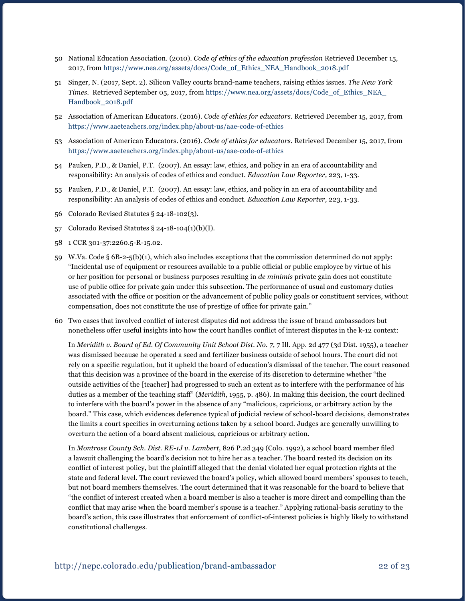- 50 National Education Association. (2010). *Code of ethics of the education profession* Retrieved December 15, 2017, from [https://www.nea.org/assets/docs/Code\\_of\\_Ethics\\_NEA\\_Handbook\\_2018.pdf](https://www.nea.org/assets/docs/Code_of_Ethics_NEA_Handbook_2018.pdf)
- 51 Singer, N. (2017, Sept. 2). Silicon Valley courts brand-name teachers, raising ethics issues. *The New York Times*. Retrieved September 05, 2017, from [https://www.nea.org/assets/docs/Code\\_of\\_Ethics\\_NEA\\_](https://www.nea.org/assets/docs/Code_of_Ethics_NEA_Handbook_2018.pdf) [Handbook\\_2018.pdf](https://www.nea.org/assets/docs/Code_of_Ethics_NEA_Handbook_2018.pdf)
- 52 Association of American Educators. (2016). *Code of ethics for educators*. Retrieved December 15, 2017, from <https://www.aaeteachers.org/index.php/about-us/aae-code-of-ethics>
- 53 Association of American Educators. (2016). *Code of ethics for educators*. Retrieved December 15, 2017, from <https://www.aaeteachers.org/index.php/about-us/aae-code-of-ethics>
- 54 Pauken, P.D., & Daniel, P.T. (2007). An essay: law, ethics, and policy in an era of accountability and responsibility: An analysis of codes of ethics and conduct. *Education Law Reporter,* 223, 1-33.
- 55 Pauken, P.D., & Daniel, P.T. (2007). An essay: law, ethics, and policy in an era of accountability and responsibility: An analysis of codes of ethics and conduct. *Education Law Reporter,* 223, 1-33.
- 56 Colorado Revised Statutes § 24-18-102(3).
- 57 Colorado Revised Statutes § 24-18-104(1)(b)(I).
- 58 1 CCR 301-37:2260.5-R-15.02.
- 59 W.Va. Code § 6B-2-5(b)(1), which also includes exceptions that the commission determined do not apply: "Incidental use of equipment or resources available to a public official or public employee by virtue of his or her position for personal or business purposes resulting in *de minimis* private gain does not constitute use of public office for private gain under this subsection. The performance of usual and customary duties associated with the office or position or the advancement of public policy goals or constituent services, without compensation, does not constitute the use of prestige of office for private gain."
- 60 Two cases that involved conflict of interest disputes did not address the issue of brand ambassadors but nonetheless offer useful insights into how the court handles conflict of interest disputes in the k-12 context:

In *Meridith v. Board of Ed. Of Community Unit School Dist. No. 7*, 7 Ill. App. 2d 477 (3d Dist. 1955), a teacher was dismissed because he operated a seed and fertilizer business outside of school hours. The court did not rely on a specific regulation, but it upheld the board of education's dismissal of the teacher. The court reasoned that this decision was a province of the board in the exercise of its discretion to determine whether "the outside activities of the [teacher] had progressed to such an extent as to interfere with the performance of his duties as a member of the teaching staff" (*Meridith*, 1955, p. 486). In making this decision, the court declined to interfere with the board's power in the absence of any "malicious, capricious, or arbitrary action by the board." This case, which evidences deference typical of judicial review of school-board decisions, demonstrates the limits a court specifies in overturning actions taken by a school board. Judges are generally unwilling to overturn the action of a board absent malicious, capricious or arbitrary action.

In *Montrose County Sch. Dist. RE-1J v. Lambert*, 826 P.2d 349 (Colo. 1992), a school board member filed a lawsuit challenging the board's decision not to hire her as a teacher. The board rested its decision on its conflict of interest policy, but the plaintiff alleged that the denial violated her equal protection rights at the state and federal level. The court reviewed the board's policy, which allowed board members' spouses to teach, but not board members themselves. The court determined that it was reasonable for the board to believe that "the conflict of interest created when a board member is also a teacher is more direct and compelling than the conflict that may arise when the board member's spouse is a teacher." Applying rational-basis scrutiny to the board's action, this case illustrates that enforcement of conflict-of-interest policies is highly likely to withstand constitutional challenges.